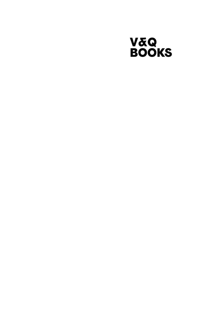# V&Q<br>BOOKS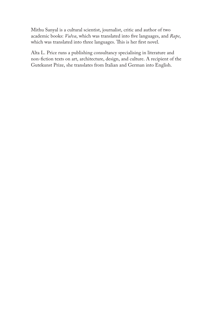Mithu Sanyal is a cultural scientist, journalist, critic and author of two academic books: *Vulva*, which was translated into five languages, and *Rape*, which was translated into three languages. This is her first novel.

Alta L. Price runs a publishing consultancy specialising in literature and non-fiction texts on art, architecture, design, and culture. A recipient of the Gutekunst Prize, she translates from Italian and German into English.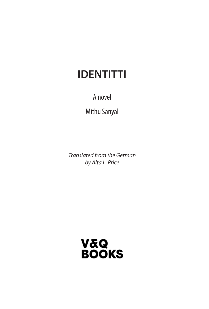### **IDENTITTI**

A novel

Mithu Sanyal

*Translated from the German by Alta L. Price*

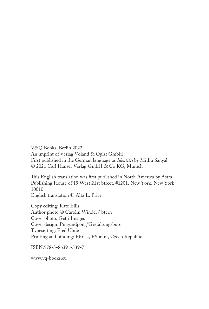V&Q Books, Berlin 2022 An imprint of Verlag Voland & Quist GmbH First published in the German language as *Identitti* by Mithu Sanyal © 2021 Carl Hanser Verlag GmbH & Co KG, Munich

This English translation was first published in North America by Astra Publishing House of 19 West 21st Street, #1201, New York, New York 10010.

English translation © Alta L. Price

Copy editing: Kate Ellis Author photo © Carolin Windel / Stern Cover photo: Getti Images Cover design: Pingundpong\*Gestaltungsbüro Typesetting: Fred Uhde Printing and binding: PBtisk, Příbram, Czech Republic

ISBN:978-3-86391-339-7

www.vq-books.eu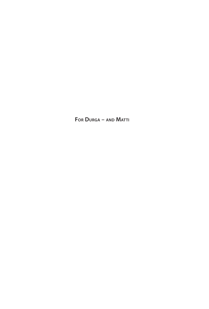FOR DURGA - AND MATTI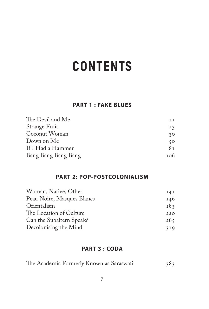## **CONTENTS**

### **PART 1 : FAKE BLUES**

| TТ         |
|------------|
| 13         |
| 30         |
| 50         |
| 8т         |
| <b>106</b> |
|            |

### **PART 2: POP-POSTCOLONIALISM**

| Woman, Native, Other       | I4I |
|----------------------------|-----|
| Peau Noire, Masques Blancs | 146 |
| Orientalism                | 183 |
| The Location of Culture    | 220 |
| Can the Subaltern Speak?   | 265 |
| Decolonising the Mind      | 319 |

### **PART 3 : CODA**

| The Academic Formerly Known as Saraswati |  |  |  |  |
|------------------------------------------|--|--|--|--|
|------------------------------------------|--|--|--|--|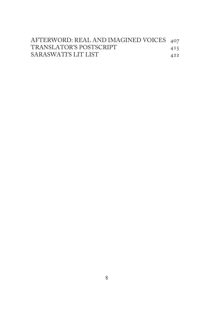| AFTERWORD: REAL AND IMAGINED VOICES 407 |     |
|-----------------------------------------|-----|
| TRANSLATOR'S POSTSCRIPT                 | 415 |
| SARASWATI'S LIT LIST                    | 422 |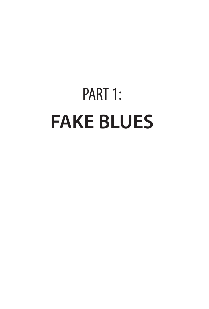## PART 1: **FAKE BLUES**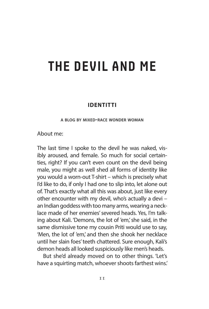## **THE DEVIL AND ME**

#### **IDENTITTI**

#### **a blog by mixed-race wonder woman**

About me:

The last time I spoke to the devil he was naked, visibly aroused, and female. So much for social certainties, right? If you can't even count on the devil being male, you might as well shed all forms of identity like you would a worn-out T-shirt – which is precisely what I'd like to do, if only I had one to slip into, let alone out of. That's exactly what all this was about, just like every other encounter with my devil, who's actually a devi – an Indian goddess with too many arms, wearing a necklace made of her enemies' severed heads. Yes, I'm talking about Kali. 'Demons, the lot of 'em,' she said, in the same dismissive tone my cousin Priti would use to say, 'Men, the lot of 'em', and then she shook her necklace until her slain foes' teeth chattered. Sure enough, Kali's demon heads all looked suspiciously like men's heads.

But she'd already moved on to other things. 'Let's have a squirting match, whoever shoots farthest wins.'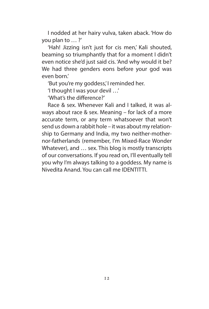I nodded at her hairy vulva, taken aback. 'How do you plan to … ?'

'Hah! Jizzing isn't just for cis men,' Kali shouted, beaming so triumphantly that for a moment I didn't even notice she'd just said cis. 'And why would it be? We had three genders eons before your god was even born.'

'But you're my goddess,' I reminded her.

'I thought I was your devil …'

'What's the difference?'

Race & sex. Whenever Kali and I talked, it was always about race & sex. Meaning – for lack of a more accurate term, or any term whatsoever that won't send us down a rabbit hole – it was about my relationship to Germany and India, my two neither-mothernor-fatherlands (remember, I'm Mixed-Race Wonder Whatever), and … sex. This blog is mostly transcripts of our conversations. If you read on, I'll eventually tell you why I'm always talking to a goddess. My name is Nivedita Anand. You can call me IDENTITTI.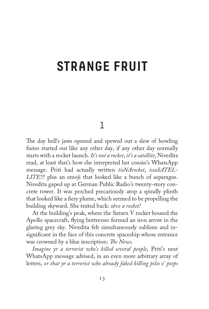### **STRANGE FRUIT**

1

The day hell's jaws opened and spewed out a slew of howling furies started out like any other day, if any other day normally starts with a rocket launch. *It's not a rocket*, *it's a satellite*, Nivedita read, at least that's how she interpreted her cousin's WhatsApp message. Priti had actually written *tisNArocket*, *issaSATEL-LITE!!!* plus an emoji that looked like a bunch of asparagus. Nivedita gaped up at German Public Radio's twenty-story concrete tower. It was perched precariously atop a spindly plinth that looked like a fiery plume, which seemed to be propelling the building skyward. She texted back: *obvs a rocket!*

At the building's peak, where the Saturn V rocket housed the Apollo spacecraft, flying buttresses formed an iron arrow in the glaring grey sky. Nivedita felt simultaneously sublime and insignificant in the face of this concrete spaceship whose entrance was crowned by a blue inscription: *The News.*

*Imagine yr a terrorist who's killed several people*, Priti's next WhatsApp message advised, in an even more arbitrary array of letters, *or that yr a terrorist who already faked killing piles o' peeps*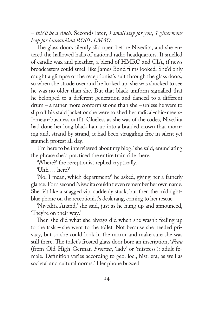– *this'll be a cinch*. Seconds later, *1 small step for you*, *1 ginormous leap for humankind ROFL LMAO*.

The glass doors silently slid open before Nivedita, and she entered the hallowed halls of national radio headquarters. It smelled of candle wax and pleather, a blend of HMRC and CIA, if news broadcasters could smell like James Bond films looked. She'd only caught a glimpse of the receptionist's suit through the glass doors, so when she strode over and he looked up, she was shocked to see he was no older than she. But that black uniform signalled that he belonged to a different generation and danced to a different drum – a rather more conformist one than she – unless he were to slip off his staid jacket or she were to shed her radical-chic-meets-I-mean-business outfit. Clueless as she was of the codes, Nivedita had done her long black hair up into a braided crown that morning and, strand by strand, it had been struggling free in silent yet staunch protest all day.

'I'm here to be interviewed about my blog,' she said, enunciating the phrase she'd practiced the entire train ride there.

'Where?' the receptionist replied cryptically.

'Uhh … here?'

'No, I mean, which department?' he asked, giving her a fatherly glance. For a second Nivedita couldn't even remember her own name. She felt like a snagged zip, suddenly stuck, but then the midnightblue phone on the receptionist's desk rang, coming to her rescue.

'Nivedita Anand,' she said, just as he hung up and announced, 'They're on their way.'

Then she did what she always did when she wasn't feeling up to the task – she went to the toilet. Not because she needed privacy, but so she could look in the mirror and make sure she was still there. The toilet's frosted glass door bore an inscription, '*Frau*  (from Old High German *Frouwa*, 'lady' or 'mistress'): adult female. Definition varies according to geo. loc., hist. era, as well as societal and cultural norms.' Her phone buzzed.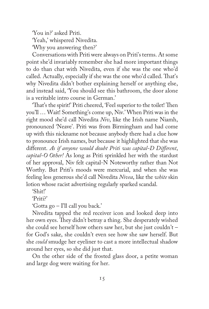'You in?' asked Priti. 'Yeah,' whispered Nivedita. 'Why you answering then?'

Conversations with Priti were always on Priti's terms. At some point she'd invariably remember she had more important things to do than chat with Nivedita, even if she was the one who'd called. Actually, especially if she was the one who'd called. That's why Nivedita didn't bother explaining herself or anything else, and instead said, 'You should see this bathroom, the door alone is a veritable intro course in German.'

'That's the spirit!' Priti cheered, 'Feel superior to the toilet! Then you'll … Wait! Something's come up, Niv.' When Priti was in the right mood she'd call Nivedita *Niv*, like the Irish name Niamh, pronounced 'Neave'. Priti was from Birmingham and had come up with this nickname not because anybody there had a clue how to pronounce Irish names, but because it highlighted that she was different. *As if anyone would doubt Priti was capital-D Different*, *capital-O Other!* As long as Priti sprinkled her with the stardust of her approval, Niv felt capital-N Noteworthy rather than Not Worthy. But Priti's moods were mercurial, and when she was feeling less generous she'd call Nivedita *Nivea*, like the *white* skin lotion whose racist advertising regularly sparked scandal.

'Shit!'

'Priti?'

'Gotta go – I'll call you back.'

Nivedita tapped the red receiver icon and looked deep into her own eyes. They didn't betray a thing. She desperately wished she could see herself how others saw her, but she just couldn't – for God's sake, she couldn't even see how she saw herself. But she *could* smudge her eyeliner to cast a more intellectual shadow around her eyes, so she did just that.

On the other side of the frosted glass door, a petite woman and large dog were waiting for her.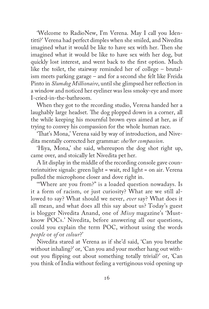'Welcome to RadioNew, I'm Verena. May I call you Identitti?' Verena had perfect dimples when she smiled, and Nivedita imagined what it would be like to have sex with her. Then she imagined what it would be like to have sex with her dog, but quickly lost interest, and went back to the first option. Much like the toilet, the stairway reminded her of college – brutalism meets parking garage – and for a second she felt like Freida Pinto in *Slumdog Millionaire*, until she glimpsed her reflection in a window and noticed her eyeliner was less smoky-eye and more I-cried-in-the-bathroom.

When they got to the recording studio, Verena handed her a laughably large headset. The dog plopped down in a corner, all the while keeping his mournful brown eyes aimed at her, as if trying to convey his compassion for the whole human race.

'That's Mona,' Verena said by way of introduction, and Nivedita mentally corrected her grammar: *she/her compassion*.

'Hiya, Mona,' she said, whereupon the dog shot right up, came over, and stoically let Nivedita pet her.

A lit display in the middle of the recording console gave counterintuitive signals: green light = wait, red light = on air. Verena pulled the microphone closer and dove right in.

'"Where are you from?" is a loaded question nowadays. Is it a form of racism, or just curiosity? What are we still allowed to say? What should we never, *ever* say? What does it all mean, and what does all this say about us? Today's guest is blogger Nivedita Anand, one of *Missy* magazine's 'Mustknow POCs.' Nivedita, before answering all our questions, could you explain the term POC, without using the words *people* or *of* or *colour*?'

Nivedita stared at Verena as if she'd said, 'Can you breathe without inhaling?' or, 'Can you and your mother hang out without you flipping out about something totally trivial?' or, 'Can you think of India without feeling a vertiginous void opening up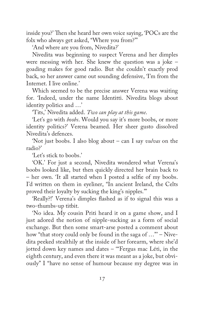inside you?' Then she heard her own voice saying, 'POCs are the folx who always get asked, "Where you from?"'

'And where are you from, Nivedita?'

Nivedita was beginning to suspect Verena and her dimples were messing with her. She knew the question was a joke – goading makes for good radio. But she couldn't exactly prod back, so her answer came out sounding defensive, 'I'm from the Internet. I live online.'

Which seemed to be the precise answer Verena was waiting for. 'Indeed, under the name Identitti. Nivedita blogs about identity politics and …'

'Tits,' Nivedita added. *Two can play at this game*.

'Let's go with *boobs*. Would you say it's more boobs, or more identity politics?' Verena beamed. Her sheer gusto dissolved Nivedita's defences.

'Not just boobs. I also blog about – can I say *vulvas* on the radio?'

'Let's stick to boobs.'

'OK.' For just a second, Nivedita wondered what Verena's boobs looked like, but then quickly directed her brain back to – her own. 'It all started when I posted a selfie of my boobs. I'd written on them in eyeliner, "In ancient Ireland, the Celts proved their loyalty by sucking the king's nipples."'

'Really?!' Verena's dimples flashed as if to signal this was a two-thumbs-up titbit.

'No idea. My cousin Priti heard it on a game show, and I just adored the notion of nipple-sucking as a form of social exchange. But then some smart-arse posted a comment about how "that story could only be found in the saga of  $\ldots$ " – Nivedita peeked stealthily at the inside of her forearm, where she'd jotted down key names and dates – '"Fergus mac Léti, in the eighth century, and even there it was meant as a joke, but obviously" I "have no sense of humour because my degree was in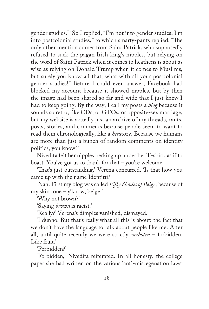gender studies."' So I replied, "I'm not into gender studies, I'm into postcolonial studies," to which smarty-pants replied, "The only other mention comes from Saint Patrick, who supposedly refused to suck the pagan Irish king's nipples, but relying on the word of Saint Patrick when it comes to heathens is about as wise as relying on Donald Trump when it comes to Muslims, but surely you know all that, what with all your postcolonial gender studies!" Before I could even answer, Facebook had blocked my account because it showed nipples, but by then the image had been shared so far and wide that I just knew I had to keep going. By the way, I call my posts a *blog* because it sounds so retro, like CDs, or GTOs, or opposite-sex marriage, but my website is actually just an archive of my threads, rants, posts, stories, and comments because people seem to want to read them chronologically, like a *her*story. Because we humans are more than just a bunch of random comments on identity politics, you know?'

Nivedita felt her nipples perking up under her T-shirt, as if to boast: You've got us to thank for that – you're welcome.

'That's just outstanding,' Verena concurred. 'Is that how you came up with the name Identitti?'

'Nah. First my blog was called *Fifty Shades of Beige*, because of my skin tone – y'know, beige.'

'Why not brown?'

'Saying *brown* is racist.'

'Really?' Verena's dimples vanished, dismayed.

'I dunno. But that's really what all this is about: the fact that we don't have the language to talk about people like me. After all, until quite recently we were strictly *verboten* – forbidden. Like fruit.'

'Forbidden?'

'Forbidden,' Nivedita reiterated. In all honesty, the college paper she had written on the various 'anti-miscegenation laws'